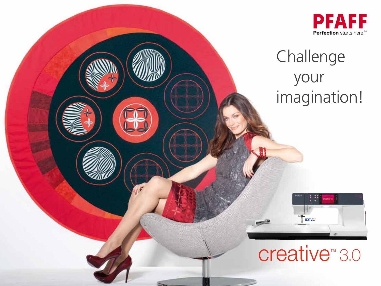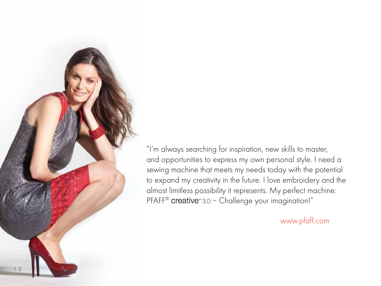

"I'm always searching for inspiration, new skills to master, and opportunities to express my own personal style. I need a sewing machine that meets my needs today with the potential to expand my creativity in the future. I love embroidery and the almost limitless possibility it represents. My perfect machine: PFAFF® creative<sup>®</sup> 3.0 - Challenge your imagination!"

www.pfaff.com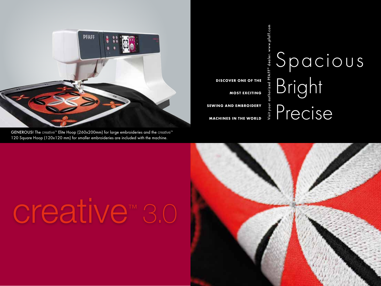

GENEROUS! The creative™ Elite Hoop (260x200mm) for large embroideries and the creative™ 120 Square Hoop (120x120 mm) for smaller embroideries are included with the machine.

**DISCOVER ONE OF THE MOST EXCITING SEWING AND EMBROIDERY MACHINES IN THE WORLD** Visit your authorized PFAFF® dealer. www.pfaff.com

## Spacious Bright  $P$ recise

# creative™ 3.0

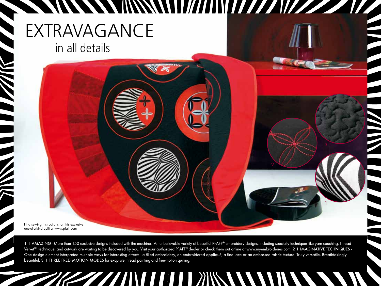### **A MANARA MANARA MANARA MANARA MANARA MANARA MANARA MANARA MANARA MANARA MANARA MANARA MANARA MANARA MANARA MAN** EXTRAVAGANCE in all details

Find sewing instructions for this exclusive, one-of-a-kind quilt at www.pfaff.com

1 I AMAZING - More than 150 exclusive designs included with the machine. An unbelievable variety of beautiful PFAFF® embroidery designs, including specialty techniques like yarn couching, Thread Velve<sup>™</sup> technique, and cutwork are waiting to be discovered by you. Visit your authorized PFAFF® dealer or check them out online at www.myembroideries.com. 2 | IMAGINATIVE TECHNIQUES -One design element interpreted multiple ways for interesting effects - a filled embroidery, an embroidered appliqué, a fine lace or an embossed fabric texture. Truly versatile. Breathtakingly beautiful. 3 I THREE FREE - MOTION MODES for exquisite thread painting and free-motion quilting.

1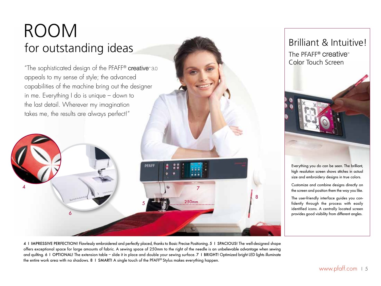### Room for outstanding ideas

6

4

"The sophisticated design of the PFAFF® creative"3.0 appeals to my sense of style; the advanced capabilities of the machine bring out the designer in me. Everything I do is unique – down to the last detail. Wherever my imagination takes me, the results are always perfect!"

4 I IMPRESSIVE PERFECTION! Flawlessly embroidered and perfectly placed, thanks to Basic Precise Positioning. 5 I SPACIOUS! The well-designed shape offers exceptional space for large amounts of fabric. A sewing space of 250mm to the right of the needle is an unbelievable advantage when sewing and quilting. 6 1 OPTIONAL! The extension table – slide it in place and double your sewing surface. 7 1 BRIGHT! Optimized bright LED lights illuminate the entire work area with no shadows. 8 I SMART! A single touch of the PFAFF® Stylus makes everything happen.

**PFAFI** 

250mm 5

7

8



Everything you do can be seen. The brilliant, high resolution screen shows stitches in actual size and embroidery designs in true colors.

Customize and combine designs directly on the screen and position them the way you like.

The user-friendly interface guides you confidently through the process with easily identified icons. A centrally located screen provides good visibility from different angles.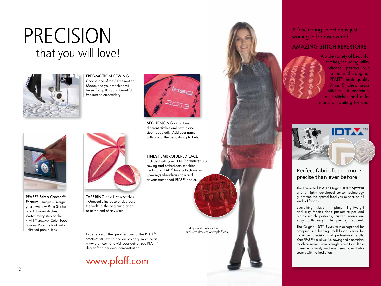### that you will love! **PRECISION**



FRFF-MOTION SEWING Choose one of the 3 Free-motion Modes and your machine will be set for quilting and beautiful free-motion embroidery.



Sequencing – Combine different stitches and sew in one step, repeatedly. Add your name with one of the beautiful alphabets.

#### Finest embroidered lace

Included with your PFAFF® creative™ 3.0 sewing and embroidery machine. Find more PFAFF® lace collections on www.myembroideries.com and at your authorized PFAFF® dealer.

> Find tips and hints for this exclusive dress at www.pfaff.com

Experience all the great features of the PFAFF® creative™ 3.0 sewing and embroidery machine at www.pfaff.com and visit your authorized PFAFF® dealer for a personal demonstration!

www.pfaff.com

TAPERING on all 9mm Stitches – Gradually increase or decrease the width at the beginning and/ or at the end of any stitch.



9mm Stitches, cross stitches, hemstitches, quilt stitches and a lot more, all waiting for you.

A fascinating selection is just waiting to be discovered.

Amazing stitch repertoire

A wide variety of beautiful stitches, including utility stitches, perfect buttonholes, the original PFAFF® high quality



#### Perfect fabric feed – more precise than ever before

The time-tested PFAFF® Original **IDT**™ **System** and a highly developed sensor technology guarantee the optimal feed you expect, on all kinds of fabrics.

Everything stays in place. Lightweight and silky fabrics don't pucker; stripes and plaids match perfectly; curved seams are easy, with very little pinning required.

The Original **IDT**™ **System** is exceptional for grasping and feeding small fabric pieces, for maximum precision and professional results. Your PFAFF® creative™ 3.0 sewing and embroidery machine moves from a single layer to multiple layers effortlessly and even sews over bulky seams with no hesitation.

PFAFF<sup>®</sup> Stitch Creator™ Feature. Unique – Design your own new 9mm Stitches or edit built-in stitches. Watch every step on the PFAFF® creative™ Color Touch Screen. Vary the look with unlimited possibilities.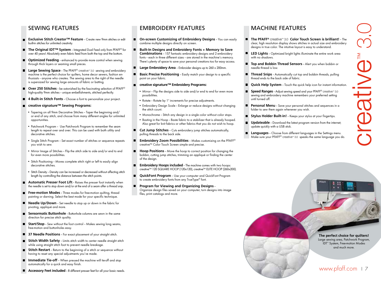#### SEWING FEATURES

- **■** Exclusive Stitch Creator<sup>™</sup> Feature Create new 9mm stitches or edit built-in stitches for unlimited creativity.
- The Original IDT<sup>™</sup> System Integrated Dual Feed only from PFAFF<sup>®</sup> for over 40 years! Absolutely even fabric feed from both the top and the bottom.
- $\blacksquare$  **Optimized Feeding** enhanced to provide more control when sewing through thick layers or seaming small pieces.
- **Large Sewing Space** The PFAFF® creative™ 3.0 sewing and embroidery machine is the perfect choice for quilters, home decor sewers, fashion enthusiasts – anyone who creates. The sewing area to the right of the needle is supersized for sewing large amounts of fabric or batting.
- **Over 250 Stitches** be astonished by the fascinating selection of PFAFF® high-quality 9mm stitches – unique embellishments, stitched perfectly.
- **4 Built-in Stitch Fonts** Choose a font to personalize your project.
- **creative signature™ Sewing Programs:**
	- Tapering on all 9mm Decorative Stitches Taper the beginning and/ or end of any stitch, and choose from many different angles for unlimited opportunities.
	- Patchwork Program Use Patchwork Program to remember the seam length to repeat over and over. This can be used with both utility and decorative stitches.
	- Single Stitch Program Set exact number of stitches or sequence repeats you wish to sew.
	- Mirror Image of Stitches Flip the stitch side to side and/or end to end for even more possibilities.
	- Stitch Positioning Moves complete stitch right or left to easily align decorative stitches.
	- Stitch Density Density can be increased or decreased without affecting stitch length by controlling the distance between the stitch points.
- **Automatic Presser Foot Lift** Raises the presser foot instantly when the needle is set to stop down and/or at the end of a seam after a thread snip.
- **Free-motion Modes** Three modes for free-motion quilting, thread painting or darning. Select the best mode for your specific technique.
- **Needle Up/Down** Set needle to stop up or down in the fabric for pivoting, appliqué and more.
- **Sensormatic Buttonhole** Buttonhole columns are sewn in the same direction for precise stitch quality.
- **Start/Stop** Sew without the foot control Makes sewing long seams, free-motion and buttonholes easy.
- **37 Needle Positions** For exact placement of your straight stitch.
- **Stitch Width Safety** Limits stitch width to center needle straight stitch while using straight stitch foot to prevent needle breakage.
- **Stitch Restart** Return to the beginning of a stitch or sequence without having to reset any special adjustments you've made.
- **Immediate Tie-off**  When pressed the machine will tie-off and stop automatically for a quick and easy finish.
- **Accessory Feet included** 8 different presser feet for all your basic needs.

#### EMBROIDERY FEATURES

- **On-screen Customizing of Embroidery Designs** You can easily combine multiple designs directly on screen.
- **Built-In Designs and Embroidery Fonts + Memory to Save Combinations** – 157 fantastic embroidery designs and 2 embroidery fonts – each in three different sizes – are stored in the machine's memory. There's plenty of space to save your personal creations too for easy access.
- **Large Embroidery Area** Embroider designs up to 260 x 200mm.
- **Basic Precise Positioning** Easily match your design to a specific point on your fabric.
- **creative signature™ Embroidery Programs:**
	- Mirror Flip the desians side to side and/or end to end for even more possibilities.
	- Rotate Rotate by 1° increments for precise adjustments.
	- Embroidery Design Scale Enlarge or reduce designs without changing the stitch count.
	- Monochrome Stitch any design in a single color without color stops.
	- Basting in the Hoop Baste fabric to a stabilizer that is already hooped. Also great for knit fabrics or other fabrics that you do not wish to hoop.
- **Cut Jump Stitches** Cuts embroidery jump stitches automatically, pulling threads to the back side.
- **Embroidery Zoom Possibilities** Makes customizing on the PFAFF® creative™ Color Touch Screen simple and precise.
- **Hoop Positions** Move the hoop to correct position for changing the bobbin, cutting jump stitches, trimming an appliqué or finding the center of the design.
- **Embroidery Hoops included** The machine comes with two hoops: creative™ 120 SQUARE HOOP (120x120), creative™ ELITE HOOP (260x200).
- **QuickFont Program**  Use your computer and QuickFont Program to create embroidery fonts from any TrueType® font.
- **Program for Viewing and Organizing Designs** Organize design files saved on your computer, turn designs into image files, print catalogs and more.

#### MACHINE FEATURES

- **The PFAFF®** creative™ 3.0 **Color Touch Screen is brilliant!** The clear, high resolution display shows stitches in actual size and embroidery designs in true color. The intuitive layout is easy to understand.
- **LED Lights** Optimized bright lights illuminate the entire work area with no shadows.
- **Top and Bobbin Thread Sensors** Alert you when bobbin or needle thread is low.
- **Thread Snips** Automatically cut top and bobbin threads, pulling thread ends to the back side of fabric.
- **Quick Help System** Touch the quick help icon for instant information.
- **Speed Ranges** Adjust sewing speed and your PFAFF® creative™ 3.0 sewing and embroidery machine remembers your preferred setting until turned off.
- **Personal Menu** Save your personal stitches and sequences in a folder to sew them again whenever you wish.
- **Stylus Holder Built-in!** Keeps your stylus at your fingertips.
- **Updateable** Download the latest program version from the internet; update quickly with a USB stick.
- **Languages** Choose from different languages in the Settings menu. Make sure your PFAFF® creative™ 3.0 speaks the same language you do.

**The perfect choice for quilters!** Large sewing area, Patchwork Program, IDT™ System, Free-motion Modes and much more.

www.pfaff.com I 7